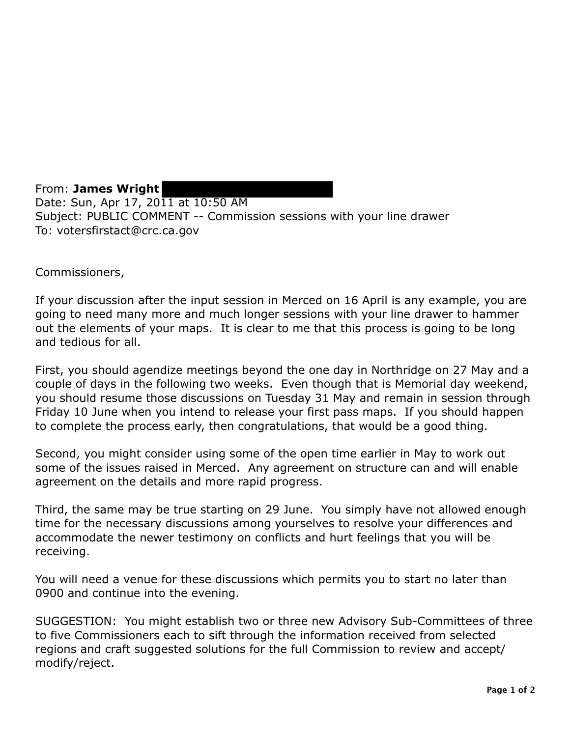From: **James Wright**  Date: Sun, Apr 17, 2011 at 10:50 AM Subject: PUBLIC COMMENT -- Commission sessions with your line drawer To: votersfirstact@crc.ca.gov

Commissioners,

If your discussion after the input session in Merced on 16 April is any example, you are going to need many more and much longer sessions with your line drawer to hammer out the elements of your maps. It is clear to me that this process is going to be long and tedious for all.

First, you should agendize meetings beyond the one day in Northridge on 27 May and a couple of days in the following two weeks. Even though that is Memorial day weekend, you should resume those discussions on Tuesday 31 May and remain in session through Friday 10 June when you intend to release your first pass maps. If you should happen to complete the process early, then congratulations, that would be a good thing.

Second, you might consider using some of the open time earlier in May to work out some of the issues raised in Merced. Any agreement on structure can and will enable agreement on the details and more rapid progress.

Third, the same may be true starting on 29 June. You simply have not allowed enough time for the necessary discussions among yourselves to resolve your differences and accommodate the newer testimony on conflicts and hurt feelings that you will be receiving.

You will need a venue for these discussions which permits you to start no later than 0900 and continue into the evening.

SUGGESTION: You might establish two or three new Advisory Sub-Committees of three to five Commissioners each to sift through the information received from selected regions and craft suggested solutions for the full Commission to review and accept/ modify/reject.